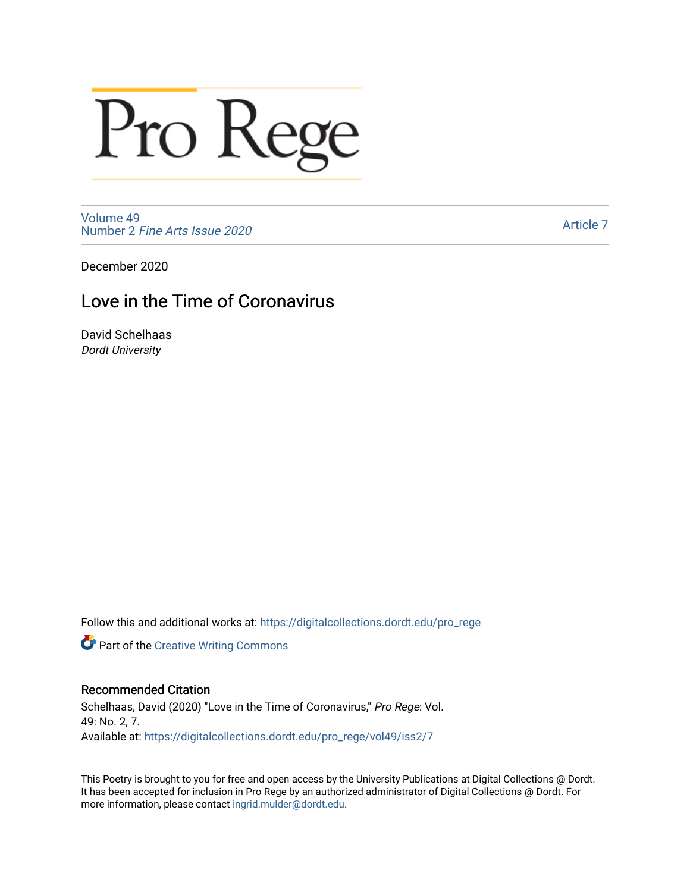# Pro Rege

[Volume 49](https://digitalcollections.dordt.edu/pro_rege/vol49) Number 2 [Fine Arts Issue 2020](https://digitalcollections.dordt.edu/pro_rege/vol49/iss2) 

[Article 7](https://digitalcollections.dordt.edu/pro_rege/vol49/iss2/7) 

December 2020

### Love in the Time of Coronavirus

David Schelhaas Dordt University

Follow this and additional works at: [https://digitalcollections.dordt.edu/pro\\_rege](https://digitalcollections.dordt.edu/pro_rege?utm_source=digitalcollections.dordt.edu%2Fpro_rege%2Fvol49%2Fiss2%2F7&utm_medium=PDF&utm_campaign=PDFCoverPages) 

**Part of the Creative Writing Commons** 

#### Recommended Citation

Schelhaas, David (2020) "Love in the Time of Coronavirus," Pro Rege: Vol. 49: No. 2, 7. Available at: [https://digitalcollections.dordt.edu/pro\\_rege/vol49/iss2/7](https://digitalcollections.dordt.edu/pro_rege/vol49/iss2/7?utm_source=digitalcollections.dordt.edu%2Fpro_rege%2Fvol49%2Fiss2%2F7&utm_medium=PDF&utm_campaign=PDFCoverPages) 

This Poetry is brought to you for free and open access by the University Publications at Digital Collections @ Dordt. It has been accepted for inclusion in Pro Rege by an authorized administrator of Digital Collections @ Dordt. For more information, please contact [ingrid.mulder@dordt.edu.](mailto:ingrid.mulder@dordt.edu)